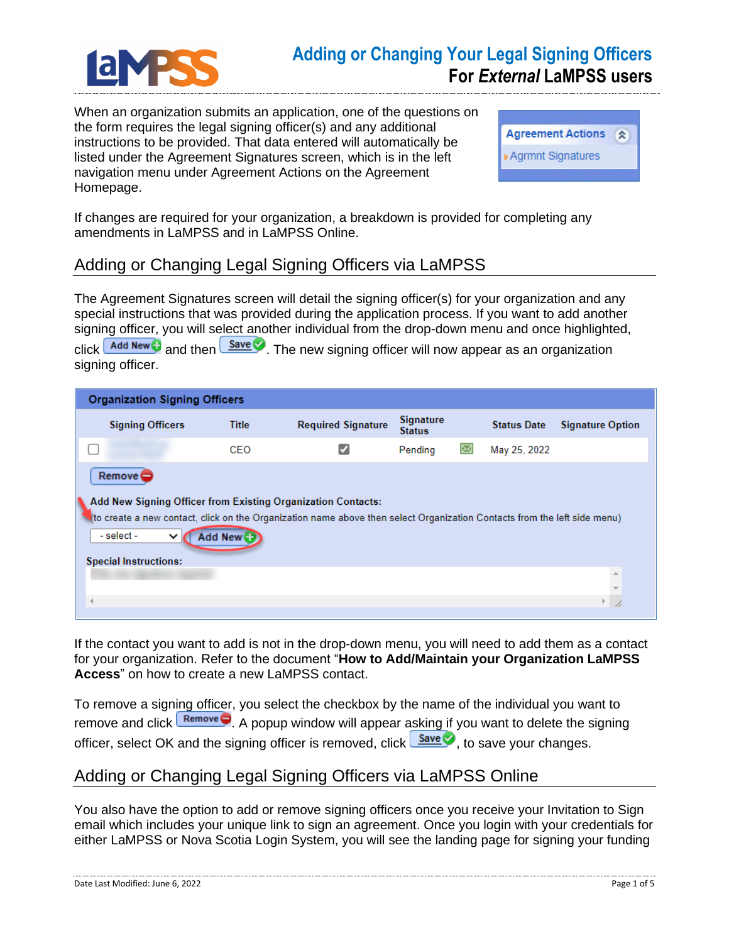

## **Adding or Changing Your Legal Signing Officers For** *External* **LaMPSS users**

When an organization submits an application, one of the questions on the form requires the legal signing officer(s) and any additional instructions to be provided. That data entered will automatically be listed under the Agreement Signatures screen, which is in the left navigation menu under Agreement Actions on the Agreement Homepage.



If changes are required for your organization, a breakdown is provided for completing any amendments in LaMPSS and in LaMPSS Online.

## Adding or Changing Legal Signing Officers via LaMPSS

The Agreement Signatures screen will detail the signing officer(s) for your organization and any special instructions that was provided during the application process. If you want to add another signing officer, you will select another individual from the drop-down menu and once highlighted, click **Add New T** and then **Save T** The new signing officer will now appear as an organization signing officer.

| <b>Organization Signing Officers</b>                                                                                                                                                                                                                                                           |              |                           |                                   |   |                    |                         |  |
|------------------------------------------------------------------------------------------------------------------------------------------------------------------------------------------------------------------------------------------------------------------------------------------------|--------------|---------------------------|-----------------------------------|---|--------------------|-------------------------|--|
| <b>Signing Officers</b>                                                                                                                                                                                                                                                                        | <b>Title</b> | <b>Required Signature</b> | <b>Signature</b><br><b>Status</b> |   | <b>Status Date</b> | <b>Signature Option</b> |  |
|                                                                                                                                                                                                                                                                                                | CEO          |                           | Pending                           | ⊠ | May 25, 2022       |                         |  |
| $Remove \subset$<br>Add New Signing Officer from Existing Organization Contacts:<br>(to create a new contact, click on the Organization name above then select Organization Contacts from the left side menu)<br>- select -<br><b>Add New C</b><br>$\check{ }$<br><b>Special Instructions:</b> |              |                           |                                   |   |                    |                         |  |
|                                                                                                                                                                                                                                                                                                |              |                           |                                   |   |                    | 业                       |  |
|                                                                                                                                                                                                                                                                                                |              |                           |                                   |   |                    |                         |  |

If the contact you want to add is not in the drop-down menu, you will need to add them as a contact for your organization. Refer to the document "**How to Add/Maintain your Organization LaMPSS Access**" on how to create a new LaMPSS contact.

To remove a signing officer, you select the checkbox by the name of the individual you want to remove and click  $\sqrt{\frac{\text{Remove}}{\text{Use}}}$ . A popup window will appear asking if you want to delete the signing officer, select OK and the signing officer is removed, click  $\frac{\text{Save}}{\text{Case}}$ , to save your changes.

## Adding or Changing Legal Signing Officers via LaMPSS Online

You also have the option to add or remove signing officers once you receive your Invitation to Sign email which includes your unique link to sign an agreement. Once you login with your credentials for either LaMPSS or Nova Scotia Login System, you will see the landing page for signing your funding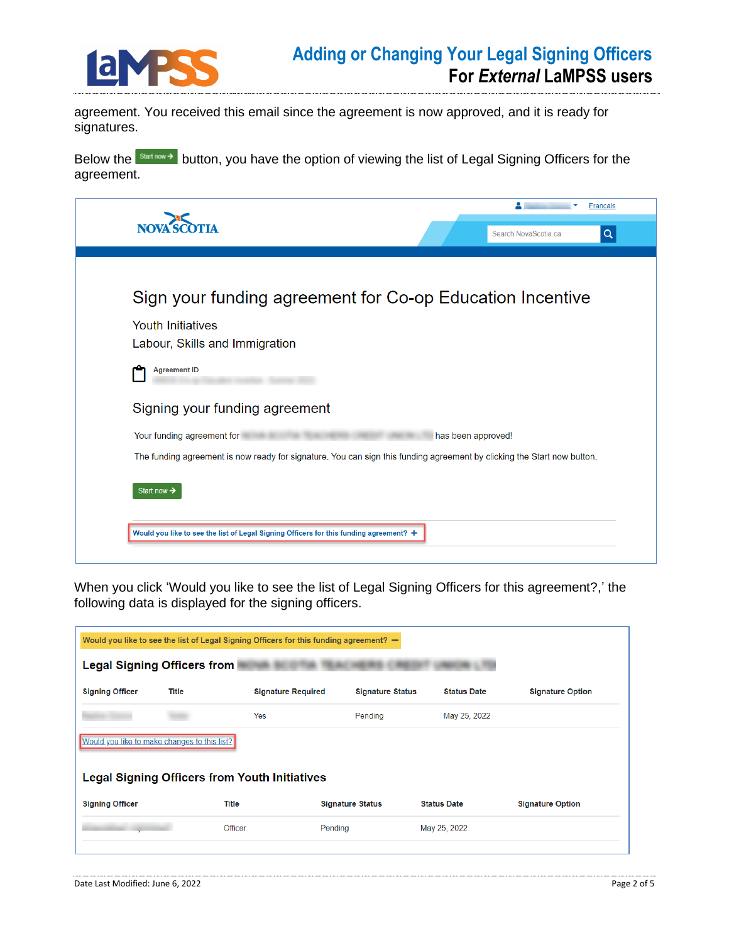

agreement. You received this email since the agreement is now approved, and it is ready for signatures.

Below the **Start now >** button, you have the option of viewing the list of Legal Signing Officers for the agreement.

| NOVA <sup>'S</sup><br>Search NovaScotia.ca<br>Sign your funding agreement for Co-op Education Incentive<br><b>Youth Initiatives</b><br>Labour, Skills and Immigration | Q |
|-----------------------------------------------------------------------------------------------------------------------------------------------------------------------|---|
|                                                                                                                                                                       |   |
|                                                                                                                                                                       |   |
|                                                                                                                                                                       |   |
|                                                                                                                                                                       |   |
|                                                                                                                                                                       |   |
| <b>Agreement ID</b>                                                                                                                                                   |   |
| Signing your funding agreement                                                                                                                                        |   |
| Your funding agreement for<br>has been approved!                                                                                                                      |   |
| The funding agreement is now ready for signature. You can sign this funding agreement by clicking the Start now button.                                               |   |

When you click 'Would you like to see the list of Legal Signing Officers for this agreement?,' the following data is displayed for the signing officers.

| Would you like to see the list of Legal Signing Officers for this funding agreement? - |              |                           |                         |                    |                         |  |  |
|----------------------------------------------------------------------------------------|--------------|---------------------------|-------------------------|--------------------|-------------------------|--|--|
| <b>Legal Signing Officers from</b>                                                     |              |                           |                         |                    |                         |  |  |
| <b>Signing Officer</b>                                                                 | <b>Title</b> | <b>Signature Required</b> | <b>Signature Status</b> | <b>Status Date</b> | <b>Signature Option</b> |  |  |
|                                                                                        |              | Yes                       | Pending                 | May 25, 2022       |                         |  |  |
| Would you like to make changes to this list?                                           |              |                           |                         |                    |                         |  |  |
| <b>Legal Signing Officers from Youth Initiatives</b>                                   |              |                           |                         |                    |                         |  |  |
| <b>Signing Officer</b>                                                                 |              | Title                     | <b>Signature Status</b> | <b>Status Date</b> | <b>Signature Option</b> |  |  |
|                                                                                        |              | Officer                   | Pending                 | May 25, 2022       |                         |  |  |
|                                                                                        |              |                           |                         |                    |                         |  |  |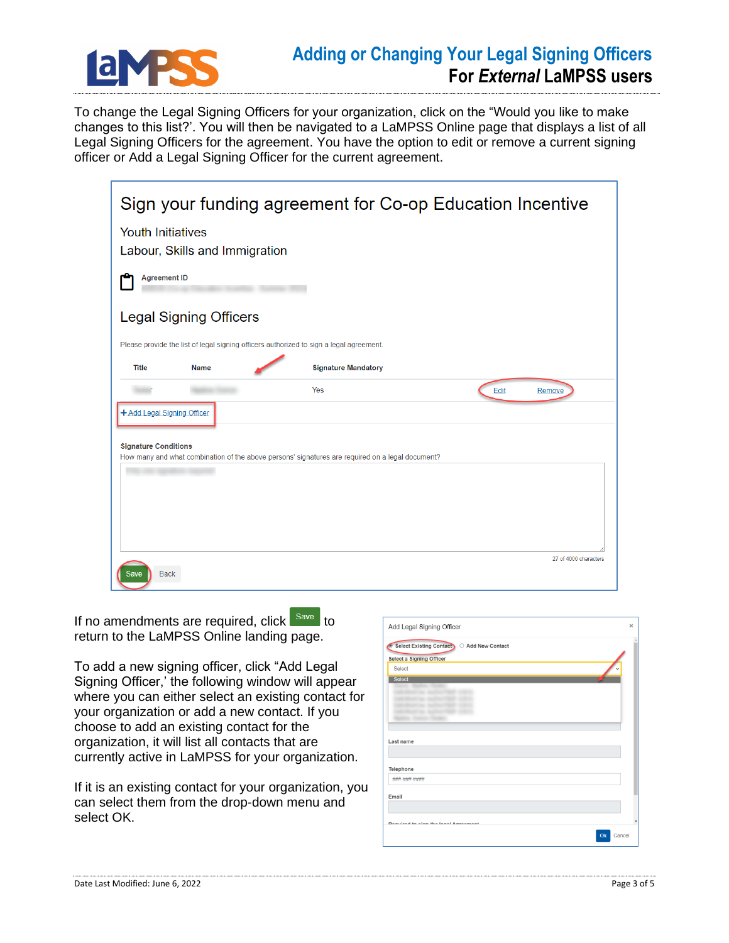

## **Adding or Changing Your Legal Signing Officers For** *External* **LaMPSS users**

To change the Legal Signing Officers for your organization, click on the "Would you like to make changes to this list?'. You will then be navigated to a LaMPSS Online page that displays a list of all Legal Signing Officers for the agreement. You have the option to edit or remove a current signing officer or Add a Legal Signing Officer for the current agreement.

|                             |                                | Sign your funding agreement for Co-op Education Incentive                                        |                       |
|-----------------------------|--------------------------------|--------------------------------------------------------------------------------------------------|-----------------------|
| <b>Youth Initiatives</b>    | Labour, Skills and Immigration |                                                                                                  |                       |
| <b>Agreement ID</b>         |                                |                                                                                                  |                       |
|                             | <b>Legal Signing Officers</b>  |                                                                                                  |                       |
|                             |                                | Please provide the list of legal signing officers authorized to sign a legal agreement.          |                       |
| <b>Title</b>                | <b>Name</b>                    | <b>Signature Mandatory</b>                                                                       |                       |
|                             |                                | Yes                                                                                              | Edit<br>Remove        |
| + Add Legal Signing Officer |                                |                                                                                                  |                       |
| <b>Signature Conditions</b> |                                | How many and what combination of the above persons' signatures are required on a legal document? |                       |
|                             |                                |                                                                                                  |                       |
|                             |                                |                                                                                                  |                       |
|                             |                                |                                                                                                  |                       |
|                             |                                |                                                                                                  |                       |
| <b>Back</b><br>Save         |                                |                                                                                                  | 27 of 4000 characters |

If no amendments are required, click save to return to the LaMPSS Online landing page.

To add a new signing officer, click "Add Legal Signing Officer,' the following window will appear where you can either select an existing contact for your organization or add a new contact. If you choose to add an existing contact for the organization, it will list all contacts that are currently active in LaMPSS for your organization.

If it is an existing contact for your organization, you can select them from the drop-down menu and select OK.

| Add Legal Signing Officer                                  | $\times$ |
|------------------------------------------------------------|----------|
| Select Existing Contact CAdd New Contact<br>$\blacksquare$ |          |
| Select a Signing Officer                                   |          |
| Select                                                     |          |
| <b>Select</b>                                              |          |
|                                                            |          |
|                                                            |          |
|                                                            |          |
|                                                            |          |
| Last name                                                  |          |
| Telephone                                                  |          |
| ###-###-####                                               |          |
| Email                                                      |          |
|                                                            |          |
| Doguized to airm the local Agreement                       |          |
| Cancel<br>Ok                                               |          |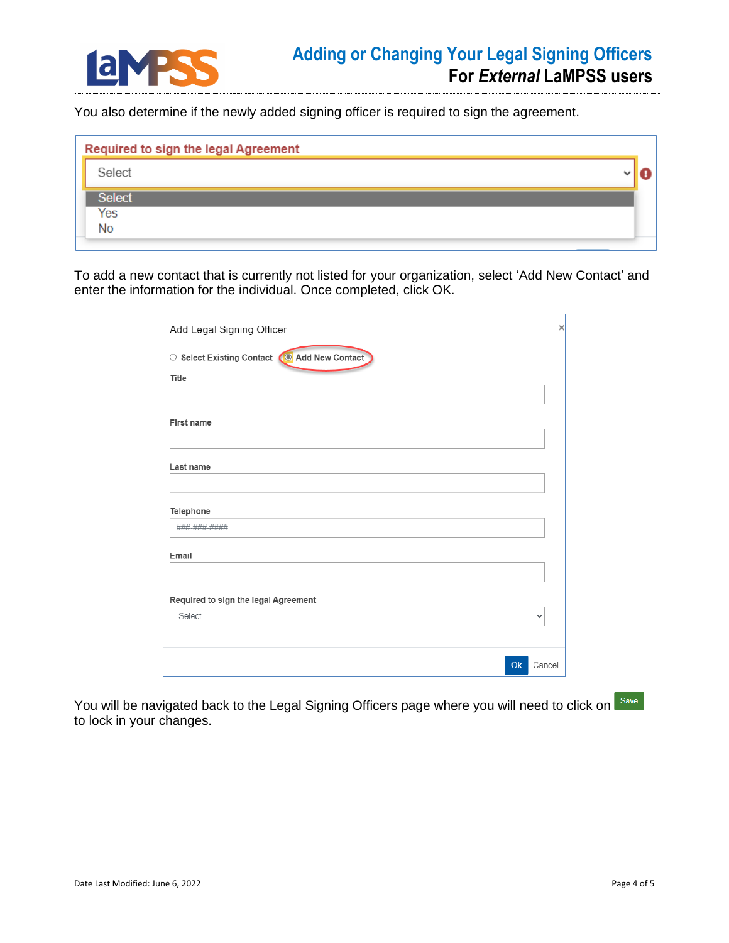

You also determine if the newly added signing officer is required to sign the agreement.

|               | Required to sign the legal Agreement |  |
|---------------|--------------------------------------|--|
| Select        |                                      |  |
| <b>Select</b> |                                      |  |
| Yes           |                                      |  |
| No            |                                      |  |
|               |                                      |  |

To add a new contact that is currently not listed for your organization, select 'Add New Contact' and enter the information for the individual. Once completed, click OK.

| Add Legal Signing Officer                    | $\times$ |
|----------------------------------------------|----------|
| ○ Select Existing Contact (◎ Add New Contact |          |
| Title                                        |          |
|                                              |          |
| First name                                   |          |
|                                              |          |
| Last name                                    |          |
| Telephone                                    |          |
| ###-###-####                                 |          |
| Email                                        |          |
| Required to sign the legal Agreement         |          |
| Select<br>$\checkmark$                       |          |
|                                              |          |
| Cancel<br>Ok                                 |          |

You will be navigated back to the Legal Signing Officers page where you will need to click on Save to lock in your changes.